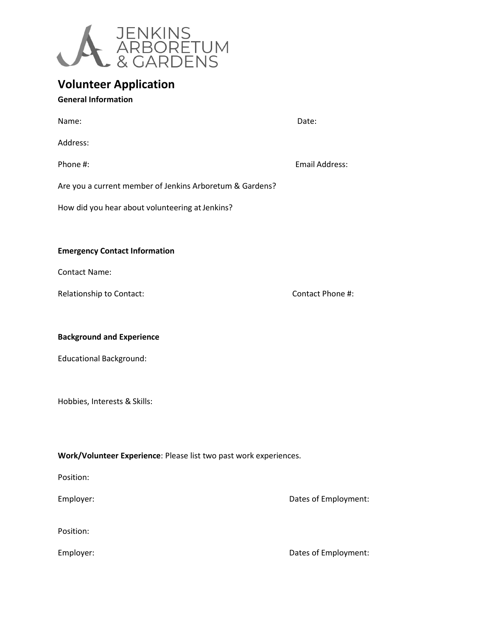

## **Volunteer Application**

## **General Information**

| Name:    | Date: |
|----------|-------|
| Address: |       |

Phone #: Email Address:

Are you a current member of Jenkins Arboretum & Gardens?

How did you hear about volunteering at Jenkins?

## **Emergency Contact Information**

Contact Name:

Relationship to Contact: **Contact:** Contact Phone #:

**Background and Experience** 

Educational Background:

Hobbies, Interests & Skills:

**Work/Volunteer Experience**: Please list two past work experiences.

Position:

Employer: **Dates of Employment:** 

Position:

Employer: **Employer: Dates of Employment:**